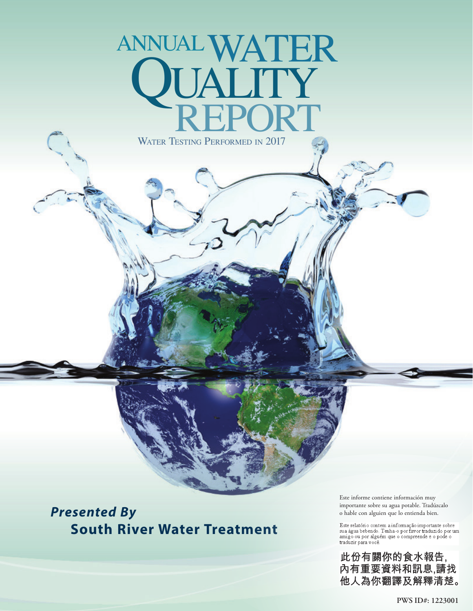# ANNUAL WA' **QUALITY**<br>REPORT

WATER TESTING PERFORMED IN 2017

*Presented By*  **South River Water Treatment** Este informe contiene información muy importante sobre su agua potable. Tradúzcalo o hable con alguien que lo entienda bien.

Este relatório contem a informação importante sobre sua água bebendo. Tenha-o por favor traduzido por um amigo ou por alguém que o compreende e o pode o traduzir para você.

此份有關你的食水報告,<br>內有重要資料和訊息,請找 他人為你翻譯及解釋清楚。

**PWS ID#: 1223001**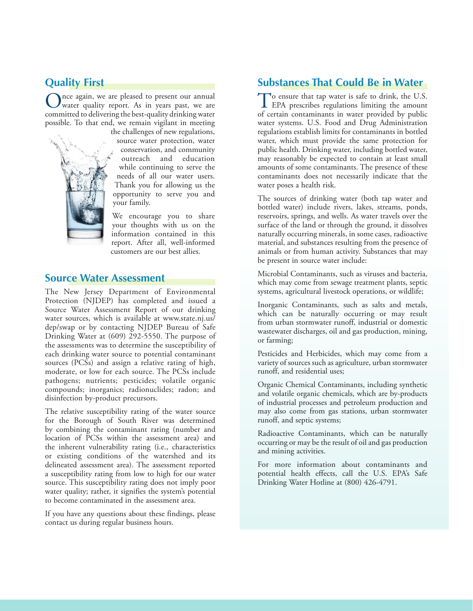# **Quality First**

Once again, we are pleased to present our annual<br>water quality report. As in years past, we are committed to delivering the best-quality drinking water possible. To that end, we remain vigilant in meeting



the challenges of new regulations, source water protection, water conservation, and community outreach and education while continuing to serve the needs of all our water users. Thank you for allowing us the opportunity to serve you and your family.

We encourage you to share your thoughts with us on the information contained in this report. After all, well-informed customers are our best allies.

# **Source Water Assessment**

The New Jersey Department of Environmental Protection (NJDEP) has completed and issued a Source Water Assessment Report of our drinking water sources, which is available at [www.state.nj.us/](http://www.state.nj.us/dep/swap) [dep/swap](http://www.state.nj.us/dep/swap) or by contacting NJDEP Bureau of Safe Drinking Water at (609) 292-5550. The purpose of the assessments was to determine the susceptibility of each drinking water source to potential contaminant sources (PCSs) and assign a relative rating of high, moderate, or low for each source. The PCSs include pathogens; nutrients; pesticides; volatile organic compounds; inorganics; radionuclides; radon; and disinfection by-product precursors.

The relative susceptibility rating of the water source for the Borough of South River was determined by combining the contaminant rating (number and location of PCSs within the assessment area) and the inherent vulnerability rating (i.e., characteristics or existing conditions of the watershed and its delineated assessment area). The assessment reported a susceptibility rating from low to high for our water source. This susceptibility rating does not imply poor water quality; rather, it signifies the system's potential to become contaminated in the assessment area.

If you have any questions about these findings, please contact us during regular business hours.

# **Substances That Could Be in Water**

To ensure that tap water is safe to drink, the U.S.<br>EPA prescribes regulations limiting the amount of certain contaminants in water provided by public water systems. U.S. Food and Drug Administration regulations establish limits for contaminants in bottled water, which must provide the same protection for public health. Drinking water, including bottled water, may reasonably be expected to contain at least small amounts of some contaminants. The presence of these contaminants does not necessarily indicate that the water poses a health risk.

The sources of drinking water (both tap water and bottled water) include rivers, lakes, streams, ponds, reservoirs, springs, and wells. As water travels over the surface of the land or through the ground, it dissolves naturally occurring minerals, in some cases, radioactive material, and substances resulting from the presence of animals or from human activity. Substances that may be present in source water include:

Microbial Contaminants, such as viruses and bacteria, which may come from sewage treatment plants, septic systems, agricultural livestock operations, or wildlife;

Inorganic Contaminants, such as salts and metals, which can be naturally occurring or may result from urban stormwater runoff, industrial or domestic wastewater discharges, oil and gas production, mining, or farming;

Pesticides and Herbicides, which may come from a variety of sources such as agriculture, urban stormwater runoff, and residential uses;

Organic Chemical Contaminants, including synthetic and volatile organic chemicals, which are by-products of industrial processes and petroleum production and may also come from gas stations, urban stormwater runoff, and septic systems;

Radioactive Contaminants, which can be naturally occurring or may be the result of oil and gas production and mining activities.

For more information about contaminants and potential health effects, call the U.S. EPA's Safe Drinking Water Hotline at (800) 426-4791.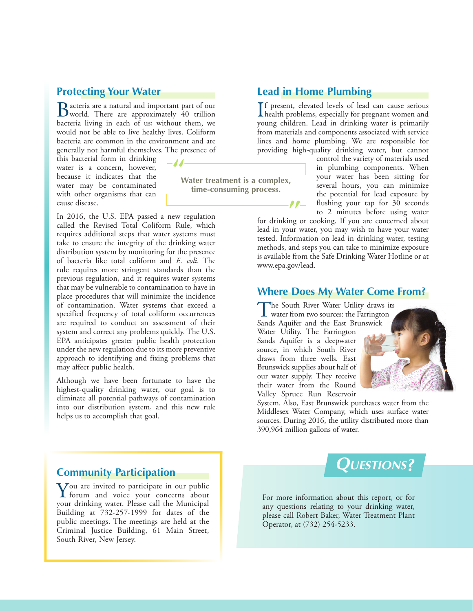# **Protecting Your Water**

Bacteria are a natural and important part of our world. There are approximately 40 trillion bacteria living in each of us; without them, we would not be able to live healthy lives. Coliform bacteria are common in the environment and are generally not harmful themselves. The presence of

this bacterial form in drinking water is a concern, however, because it indicates that the water may be contaminated with other organisms that can cause disease.

In 2016, the U.S. EPA passed a new regulation called the Revised Total Coliform Rule, which requires additional steps that water systems must take to ensure the integrity of the drinking water distribution system by monitoring for the presence of bacteria like total coliform and *E. coli*. The rule requires more stringent standards than the previous regulation, and it requires water systems that may be vulnerable to contamination to have in place procedures that will minimize the incidence of contamination. Water systems that exceed a specified frequency of total coliform occurrences are required to conduct an assessment of their system and correct any problems quickly. The U.S. EPA anticipates greater public health protection under the new regulation due to its more preventive approach to identifying and fixing problems that may affect public health.

Although we have been fortunate to have the highest-quality drinking water, our goal is to eliminate all potential pathways of contamination into our distribution system, and this new rule helps us to accomplish that goal.

**Water treatment is a complex, time-consuming process.**

# **Lead in Home Plumbing**

If present, elevated levels of lead can cause serious<br>health problems, especially for pregnant women and f present, elevated levels of lead can cause serious young children. Lead in drinking water is primarily from materials and components associated with service lines and home plumbing. We are responsible for providing high-quality drinking water, but cannot

> control the variety of materials used in plumbing components. When your water has been sitting for several hours, you can minimize the potential for lead exposure by flushing your tap for 30 seconds to 2 minutes before using water

for drinking or cooking. If you are concerned about lead in your water, you may wish to have your water tested. Information on lead in drinking water, testing methods, and steps you can take to minimize exposure is available from the Safe Drinking Water Hotline or at [www.epa.gov/lead.](http://www.epa.gov/lead)

# **Where Does My Water Come From?**

The South River Water Utility draws its<br>
water from two sources: the Farrington<br>
Sanda Aavissa and the Fast Buyenwick

Sands Aquifer and the East Brunswick Water Utility. The Farrington Sands Aquifer is a deepwater source, in which South River draws from three wells. East Brunswick supplies about half of our water supply. They receive their water from the Round Valley Spruce Run Reservoir



System. Also, East Brunswick purchases water from the Middlesex Water Company, which uses surface water sources. During 2016, the utility distributed more than 390,964 million gallons of water.

# **Community Participation**

Vou are invited to participate in our public **I** forum and voice your concerns about your drinking water. Please call the Municipal Building at 732-257-1999 for dates of the public meetings. The meetings are held at the Criminal Justice Building, 61 Main Street, South River, New Jersey.

# **Questions?**

For more information about this report, or for any questions relating to your drinking water, please call Robert Baker, Water Treatment Plant Operator, at (732) 254-5233.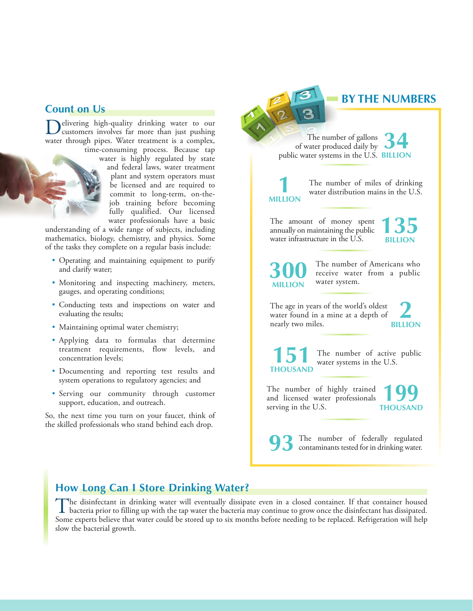# **Count on Us**

elivering high-quality drinking water to our customers involves far more than just pushing water through pipes. Water treatment is a complex,

time-consuming process. Because tap water is highly regulated by state and federal laws, water treatment plant and system operators must be licensed and are required to commit to long-term, on-thejob training before becoming fully qualified. Our licensed water professionals have a basic

understanding of a wide range of subjects, including mathematics, biology, chemistry, and physics. Some of the tasks they complete on a regular basis include:

- Operating and maintaining equipment to purify and clarify water;
- Monitoring and inspecting machinery, meters, gauges, and operating conditions;
- Conducting tests and inspections on water and evaluating the results;
- Maintaining optimal water chemistry;
- Applying data to formulas that determine treatment requirements, flow levels, and concentration levels;
- Documenting and reporting test results and system operations to regulatory agencies; and
- Serving our community through customer support, education, and outreach.

So, the next time you turn on your faucet, think of the skilled professionals who stand behind each drop.

The number of gallons of water produced daily by public water systems in the U.S. **BILLION 34**

# **MILLION**

The number of miles of drinking<br>water distribution mains in the U.S.

**BY THE NUMBERS**

The amount of money spent annually on maintaining the public water infrastructure in the U.S.

**135 BILLION**

The number of Americans who receive water from a public water system.

The age in years of the world's oldest water found in a mine at a depth of nearly two miles.

**2 BILLION**

**THOUSAND**

The number of active public water systems in the U.S.

The number of highly trained and licensed water professionals serving in the U.S.

**199** 

The number of federally regulated contaminants tested for in drinking water.

# **How Long Can I Store Drinking Water?**

The disinfectant in drinking water will eventually dissipate even in a closed container. If that container housed bacteria prior to filling up with the tap water the bacteria may continue to grow once the disinfectant has dissipated. Some experts believe that water could be stored up to six months before needing to be replaced. Refrigeration will help slow the bacterial growth.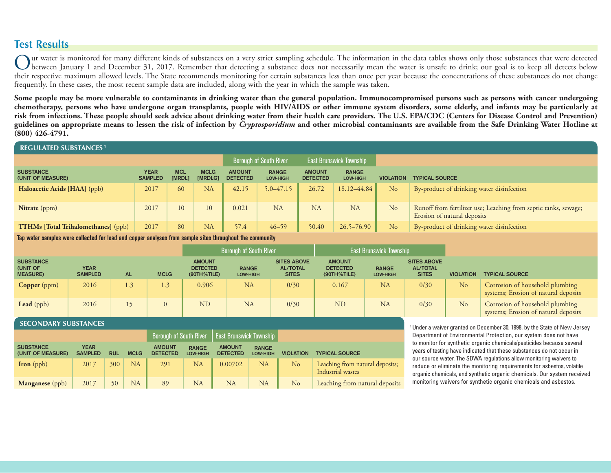# **Test Results**

Our water is monitored for many different kinds of substances on a very strict sampling schedule. The information in the data tables shows only those substances that were detected<br>between January 1 and December 31, 2017. R their respective maximum allowed levels. The State recommends monitoring for certain substances less than once per year because the concentrations of these substances do not change frequently. In these cases, the most recent sample data are included, along with the year in which the sample was taken.

**Some people may be more vulnerable to contaminants in drinking water than the general population. Immunocompromised persons such as persons with cancer undergoing chemotherapy, persons who have undergone organ transplants, people with HIV/AIDS or other immune system disorders, some elderly, and infants may be particularly at risk from infections. These people should seek advice about drinking water from their health care providers. The U.S. EPA/CDC (Centers for Disease Control and Prevention) guidelines on appropriate means to lessen the risk of infection by** *Cryptosporidium* **and other microbial contaminants are available from the Safe Drinking Water Hotline at (800) 426-4791.**

| <b>REGULATED SUBSTANCES<sup>1</sup></b>    |                               |                             |                        |                                  |                                 |                                  |                          |                  |                                                                                                |  |  |
|--------------------------------------------|-------------------------------|-----------------------------|------------------------|----------------------------------|---------------------------------|----------------------------------|--------------------------|------------------|------------------------------------------------------------------------------------------------|--|--|
|                                            |                               |                             |                        |                                  | Borough of South River          | <b>East Brunswick Township</b>   |                          |                  |                                                                                                |  |  |
| <b>SUBSTANCE</b><br>(UNIT OF MEASURE)      | <b>YEAR</b><br><b>SAMPLED</b> | <b>MCL</b><br><b>IMRDL1</b> | <b>MCLG</b><br>[MRDLG] | <b>AMOUNT</b><br><b>DETECTED</b> | <b>RANGE</b><br><b>LOW-HIGH</b> | <b>AMOUNT</b><br><b>DETECTED</b> | <b>RANGE</b><br>LOW-HIGH | <b>VIOLATION</b> | <b>TYPICAL SOURCE</b>                                                                          |  |  |
| Haloacetic Acids [HAA] (ppb)               | 2017                          | 60                          | <b>NA</b>              | 42.15                            | $5.0 - 47.15$                   | 26.72                            | 18.12-44.84              | No               | By-product of drinking water disinfection                                                      |  |  |
| Nitrate (ppm)                              | 2017                          | 10                          | 10                     | 0.021                            | <b>NA</b>                       | <b>NA</b>                        | <b>NA</b>                | N <sub>o</sub>   | Runoff from fertilizer use; Leaching from septic tanks, sewage;<br>Erosion of natural deposits |  |  |
| <b>TTHMs [Total Trihalomethanes]</b> (ppb) | 2017                          | 80                          | <b>NA</b>              | 57.4                             | $46 - 59$                       | 50.40                            | $26.5 - 76.90$           | No               | By-product of drinking water disinfection                                                      |  |  |

**Tap water samples were collected for lead and copper analyses from sample sites throughout the community**

|                                                 |                               |           |                  |                                                    | <b>Borough of South River</b> |                                                       |                                                    | <b>East Brunswick Township</b>  |                                                       |                  |                                                                         |
|-------------------------------------------------|-------------------------------|-----------|------------------|----------------------------------------------------|-------------------------------|-------------------------------------------------------|----------------------------------------------------|---------------------------------|-------------------------------------------------------|------------------|-------------------------------------------------------------------------|
| <b>SUBSTANCE</b><br>(UNIT OF<br><b>MEASURE)</b> | <b>YEAR</b><br><b>SAMPLED</b> | <b>AL</b> | <b>MCLG</b>      | <b>AMOUNT</b><br><b>DETECTED</b><br>$(90TH%$ TILE) | <b>RANGE</b><br>LOW-HIGH      | <b>SITES ABOVE</b><br><b>AL/TOTAL</b><br><b>SITES</b> | <b>AMOUNT</b><br><b>DETECTED</b><br>$(90TH%$ TILE) | <b>RANGE</b><br><b>LOW-HIGH</b> | <b>SITES ABOVE</b><br><b>AL/TOTAL</b><br><b>SITES</b> | <b>VIOLATION</b> | <b>TYPICAL SOURCE</b>                                                   |
| <b>Copper</b> (ppm)                             | 2016                          | 1.3       | 1.3 <sup>′</sup> | 0.906                                              | <b>NA</b>                     | 0/30                                                  | 0.167                                              | <b>NA</b>                       | 0/30                                                  | No               | Corrosion of household plumbing<br>systems; Erosion of natural deposits |
| Lead (ppb)                                      | 2016                          |           | $\Omega$         | <b>ND</b>                                          | <b>NA</b>                     | 0/30                                                  | <b>ND</b>                                          | <b>NA</b>                       | 0/30                                                  | No               | Corrosion of household plumbing<br>systems; Erosion of natural deposits |

## **SECONDARY SUBSTANCES**

|                                       |                               |            |             | <b>Borough of South River</b>    |                          | <b>East Brunswick Township</b>   |                          |                  |                                                      |
|---------------------------------------|-------------------------------|------------|-------------|----------------------------------|--------------------------|----------------------------------|--------------------------|------------------|------------------------------------------------------|
| <b>SUBSTANCE</b><br>(UNIT OF MEASURE) | <b>YEAR</b><br><b>SAMPLED</b> | <b>RUL</b> | <b>MCLG</b> | <b>AMOUNT</b><br><b>DETECTED</b> | <b>RANGE</b><br>LOW-HIGH | <b>AMOUNT</b><br><b>DETECTED</b> | <b>RANGE</b><br>LOW-HIGH | <b>VIOLATION</b> | <b>TYPICAL SOURCE</b>                                |
| <b>Iron</b> $(ppb)$                   | 2017                          | 300        | <b>NA</b>   | 291                              | <b>NA</b>                | 0.00702                          | <b>NA</b>                | N <sub>o</sub>   | Leaching from natural deposits;<br>Industrial wastes |
| Manganese (ppb)                       | 2017                          | 50         | <b>NA</b>   | 89                               | <b>NA</b>                | <b>NA</b>                        | <b>NA</b>                | N <sub>o</sub>   | Leaching from natural deposits                       |

<sup>1</sup> Under a waiver granted on December 30, 1998, by the State of New Jersey Department of Environmental Protection, our system does not have to monitor for synthetic organic chemicals/pesticides because several years of testing have indicated that these substances do not occur in our source water. The SDWA regulations allow monitoring waivers to reduce or eliminate the monitoring requirements for asbestos, volatile organic chemicals, and synthetic organic chemicals. Our system received monitoring waivers for synthetic organic chemicals and asbestos.